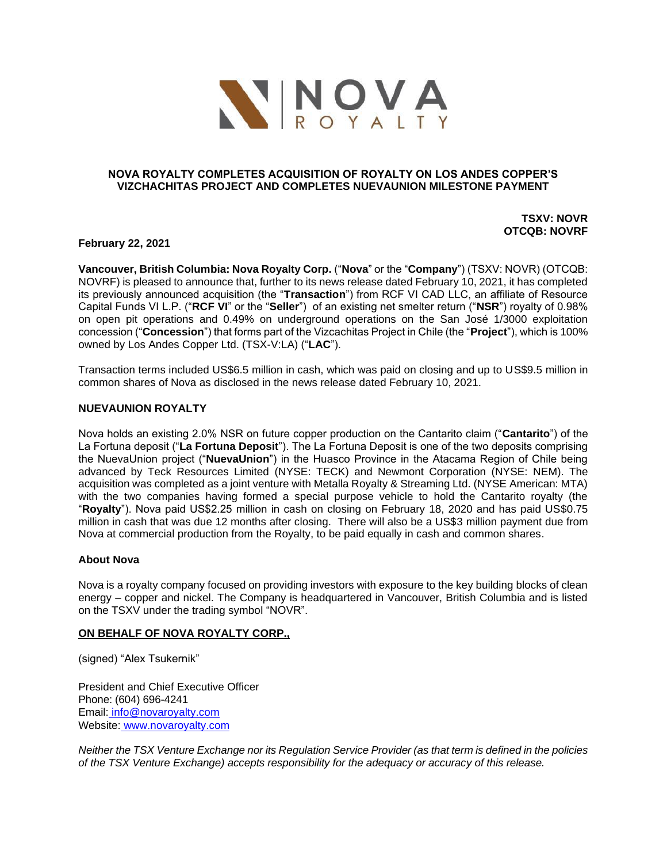

## **NOVA ROYALTY COMPLETES ACQUISITION OF ROYALTY ON LOS ANDES COPPER'S VIZCHACHITAS PROJECT AND COMPLETES NUEVAUNION MILESTONE PAYMENT**

**TSXV: NOVR OTCQB: NOVRF**

**February 22, 2021**

**Vancouver, British Columbia: Nova Royalty Corp.** ("**Nova**" or the "**Company**") (TSXV: NOVR) (OTCQB: NOVRF) is pleased to announce that, further to its news release dated February 10, 2021, it has completed its previously announced acquisition (the "**Transaction**") from RCF VI CAD LLC, an affiliate of Resource Capital Funds VI L.P. ("**RCF VI**" or the "**Seller**") of an existing net smelter return ("**NSR**") royalty of 0.98% on open pit operations and 0.49% on underground operations on the San José 1/3000 exploitation concession ("**Concession**") that forms part of the Vizcachitas Project in Chile (the "**Project**"), which is 100% owned by Los Andes Copper Ltd. (TSX-V:LA) ("**LAC**").

Transaction terms included US\$6.5 million in cash, which was paid on closing and up to US\$9.5 million in common shares of Nova as disclosed in the news release dated February 10, 2021.

### **NUEVAUNION ROYALTY**

Nova holds an existing 2.0% NSR on future copper production on the Cantarito claim ("**Cantarito**") of the La Fortuna deposit ("**La Fortuna Deposit**"). The La Fortuna Deposit is one of the two deposits comprising the NuevaUnion project ("**NuevaUnion**") in the Huasco Province in the Atacama Region of Chile being advanced by Teck Resources Limited (NYSE: TECK) and Newmont Corporation (NYSE: NEM). The acquisition was completed as a joint venture with Metalla Royalty & Streaming Ltd. (NYSE American: MTA) with the two companies having formed a special purpose vehicle to hold the Cantarito royalty (the "**Royalty**"). Nova paid US\$2.25 million in cash on closing on February 18, 2020 and has paid US\$0.75 million in cash that was due 12 months after closing. There will also be a US\$3 million payment due from Nova at commercial production from the Royalty, to be paid equally in cash and common shares.

### **About Nova**

Nova is a royalty company focused on providing investors with exposure to the key building blocks of clean energy – copper and nickel. The Company is headquartered in Vancouver, British Columbia and is listed on the TSXV under the trading symbol "NOVR".

### **ON BEHALF OF NOVA ROYALTY CORP.,**

(signed) "Alex Tsukernik"

President and Chief Executive Officer Phone: (604) 696-4241 Email: [info@novaroyalty.com](mailto:info@novaroyalty.com) Website: [www.novaroyalty.com](http://www.novaroyalty.com/)

*Neither the TSX Venture Exchange nor its Regulation Service Provider (as that term is defined in the policies of the TSX Venture Exchange) accepts responsibility for the adequacy or accuracy of this release.*